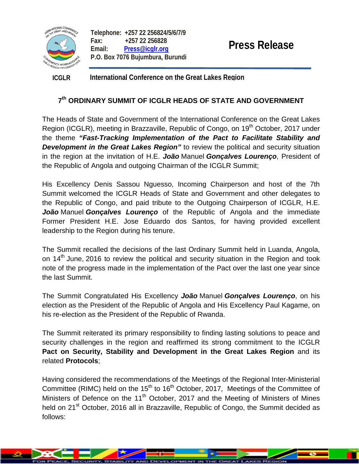

**Telephone: +257 22 256824/5/6/7/9 Fax: +257 22 256828 Email: [Press@icglr.org](mailto:Press@icglr.org) P.O. Box 7076 Bujumbura, Burundi** 

**ICGLR International Conference on the Great Lakes Region** 

# **7th ORDINARY SUMMIT OF ICGLR HEADS OF STATE AND GOVERNMENT**

The Heads of State and Government of the International Conference on the Great Lakes Region (ICGLR), meeting in Brazzaville, Republic of Congo, on 19<sup>th</sup> October, 2017 under the theme *"Fast-Tracking Implementation of the Pact to Facilitate Stability and*  **Development in the Great Lakes Region**" to review the political and security situation in the region at the invitation of H.E. *João* Manuel *Gonçalves Lourenço*, President of the Republic of Angola and outgoing Chairman of the ICGLR Summit;

His Excellency Denis Sassou Nguesso, Incoming Chairperson and host of the 7th Summit welcomed the ICGLR Heads of State and Government and other delegates to the Republic of Congo, and paid tribute to the Outgoing Chairperson of ICGLR, H.E. *João* Manuel *Gonçalves Lourenço* of the Republic of Angola and the immediate Former President H.E. Jose Eduardo dos Santos, for having provided excellent leadership to the Region during his tenure.

The Summit recalled the decisions of the last Ordinary Summit held in Luanda, Angola, on 14<sup>th</sup> June, 2016 to review the political and security situation in the Region and took note of the progress made in the implementation of the Pact over the last one year since the last Summit.

The Summit Congratulated His Excellency *João* Manuel *Gonçalves Lourenço*, on his election as the President of the Republic of Angola and His Excellency Paul Kagame, on his re-election as the President of the Republic of Rwanda.

The Summit reiterated its primary responsibility to finding lasting solutions to peace and security challenges in the region and reaffirmed its strong commitment to the ICGLR **Pact on Security, Stability and Development in the Great Lakes Region** and its related **Protocols**;

Having considered the recommendations of the Meetings of the Regional Inter-Ministerial Committee (RIMC) held on the  $15<sup>th</sup>$  to  $16<sup>th</sup>$  October, 2017, Meetings of the Committee of Ministers of Defence on the  $11<sup>th</sup>$  October, 2017 and the Meeting of Ministers of Mines held on 21<sup>st</sup> October, 2016 all in Brazzaville, Republic of Congo, the Summit decided as follows: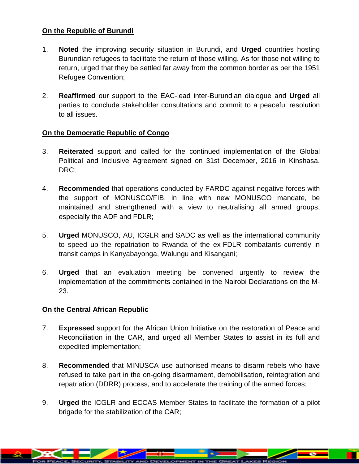## **On the Republic of Burundi**

- 1. **Noted** the improving security situation in Burundi, and **Urged** countries hosting Burundian refugees to facilitate the return of those willing. As for those not willing to return, urged that they be settled far away from the common border as per the 1951 Refugee Convention;
- 2. **Reaffirmed** our support to the EAC-lead inter-Burundian dialogue and **Urged** all parties to conclude stakeholder consultations and commit to a peaceful resolution to all issues.

## **On the Democratic Republic of Congo**

- 3. **Reiterated** support and called for the continued implementation of the Global Political and Inclusive Agreement signed on 31st December, 2016 in Kinshasa. DRC;
- 4. **Recommended** that operations conducted by FARDC against negative forces with the support of MONUSCO/FIB, in line with new MONUSCO mandate, be maintained and strengthened with a view to neutralising all armed groups, especially the ADF and FDLR;
- 5. **Urged** MONUSCO, AU, ICGLR and SADC as well as the international community to speed up the repatriation to Rwanda of the ex-FDLR combatants currently in transit camps in Kanyabayonga, Walungu and Kisangani;
- 6. **Urged** that an evaluation meeting be convened urgently to review the implementation of the commitments contained in the Nairobi Declarations on the M-23.

## **On the Central African Republic**

- 7. **Expressed** support for the African Union Initiative on the restoration of Peace and Reconciliation in the CAR, and urged all Member States to assist in its full and expedited implementation;
- 8. **Recommended** that MINUSCA use authorised means to disarm rebels who have refused to take part in the on-going disarmament, demobilisation, reintegration and repatriation (DDRR) process, and to accelerate the training of the armed forces;
- 9. **Urged** the ICGLR and ECCAS Member States to facilitate the formation of a pilot brigade for the stabilization of the CAR;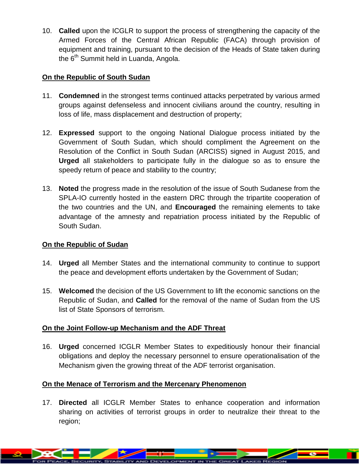10. **Called** upon the ICGLR to support the process of strengthening the capacity of the Armed Forces of the Central African Republic (FACA) through provision of equipment and training, pursuant to the decision of the Heads of State taken during the 6<sup>th</sup> Summit held in Luanda, Angola.

## **On the Republic of South Sudan**

- 11. **Condemned** in the strongest terms continued attacks perpetrated by various armed groups against defenseless and innocent civilians around the country, resulting in loss of life, mass displacement and destruction of property;
- 12. **Expressed** support to the ongoing National Dialogue process initiated by the Government of South Sudan, which should compliment the Agreement on the Resolution of the Conflict in South Sudan (ARCISS) signed in August 2015, and **Urged** all stakeholders to participate fully in the dialogue so as to ensure the speedy return of peace and stability to the country;
- 13. **Noted** the progress made in the resolution of the issue of South Sudanese from the SPLA-IO currently hosted in the eastern DRC through the tripartite cooperation of the two countries and the UN, and **Encouraged** the remaining elements to take advantage of the amnesty and repatriation process initiated by the Republic of South Sudan.

## **On the Republic of Sudan**

- 14. **Urged** all Member States and the international community to continue to support the peace and development efforts undertaken by the Government of Sudan;
- 15. **Welcomed** the decision of the US Government to lift the economic sanctions on the Republic of Sudan, and **Called** for the removal of the name of Sudan from the US list of State Sponsors of terrorism.

## **On the Joint Follow-up Mechanism and the ADF Threat**

16. **Urged** concerned ICGLR Member States to expeditiously honour their financial obligations and deploy the necessary personnel to ensure operationalisation of the Mechanism given the growing threat of the ADF terrorist organisation.

## **On the Menace of Terrorism and the Mercenary Phenomenon**

17. **Directed** all ICGLR Member States to enhance cooperation and information sharing on activities of terrorist groups in order to neutralize their threat to the region;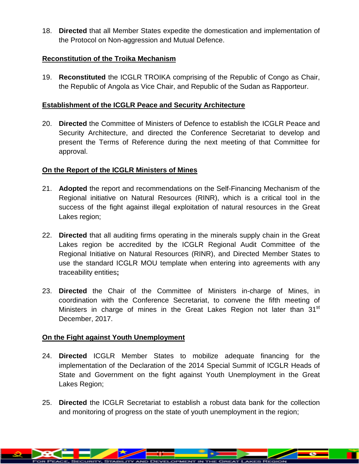18. **Directed** that all Member States expedite the domestication and implementation of the Protocol on Non-aggression and Mutual Defence.

#### **Reconstitution of the Troika Mechanism**

19. **Reconstituted** the ICGLR TROIKA comprising of the Republic of Congo as Chair, the Republic of Angola as Vice Chair, and Republic of the Sudan as Rapporteur.

#### **Establishment of the ICGLR Peace and Security Architecture**

20. **Directed** the Committee of Ministers of Defence to establish the ICGLR Peace and Security Architecture, and directed the Conference Secretariat to develop and present the Terms of Reference during the next meeting of that Committee for approval.

### **On the Report of the ICGLR Ministers of Mines**

- 21. **Adopted** the report and recommendations on the Self-Financing Mechanism of the Regional initiative on Natural Resources (RINR), which is a critical tool in the success of the fight against illegal exploitation of natural resources in the Great Lakes region;
- 22. **Directed** that all auditing firms operating in the minerals supply chain in the Great Lakes region be accredited by the ICGLR Regional Audit Committee of the Regional Initiative on Natural Resources (RINR), and Directed Member States to use the standard ICGLR MOU template when entering into agreements with any traceability entities**;**
- 23. **Directed** the Chair of the Committee of Ministers in-charge of Mines, in coordination with the Conference Secretariat, to convene the fifth meeting of Ministers in charge of mines in the Great Lakes Region not later than 31<sup>st</sup> December, 2017.

#### **On the Fight against Youth Unemployment**

- 24. **Directed** ICGLR Member States to mobilize adequate financing for the implementation of the Declaration of the 2014 Special Summit of ICGLR Heads of State and Government on the fight against Youth Unemployment in the Great Lakes Region;
- 25. **Directed** the ICGLR Secretariat to establish a robust data bank for the collection and monitoring of progress on the state of youth unemployment in the region;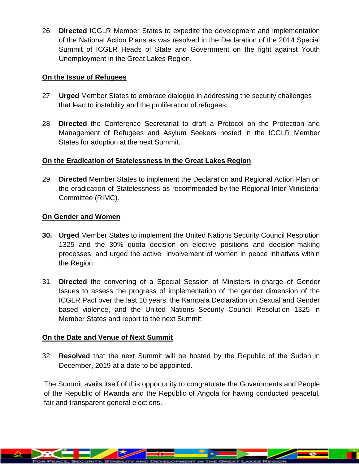26. **Directed** ICGLR Member States to expedite the development and implementation of the National Action Plans as was resolved in the Declaration of the 2014 Special Summit of ICGLR Heads of State and Government on the fight against Youth Unemployment in the Great Lakes Region.

#### **On the Issue of Refugees**

- 27. **Urged** Member States to embrace dialogue in addressing the security challenges that lead to instability and the proliferation of refugees;
- 28. **Directed** the Conference Secretariat to draft a Protocol on the Protection and Management of Refugees and Asylum Seekers hosted in the ICGLR Member States for adoption at the next Summit.

### **On the Eradication of Statelessness in the Great Lakes Region**

29. **Directed** Member States to implement the Declaration and Regional Action Plan on the eradication of Statelessness as recommended by the Regional Inter-Ministerial Committee (RIMC).

### **On Gender and Women**

- **30. Urged** Member States to implement the United Nations Security Council Resolution 1325 and the 30% quota decision on elective positions and decision-making processes, and urged the active involvement of women in peace initiatives within the Region;
- 31. **Directed** the convening of a Special Session of Ministers in-charge of Gender Issues to assess the progress of implementation of the gender dimension of the ICGLR Pact over the last 10 years, the Kampala Declaration on Sexual and Gender based violence, and the United Nations Security Council Resolution 1325 in Member States and report to the next Summit.

## **On the Date and Venue of Next Summit**

32. **Resolved** that the next Summit will be hosted by the Republic of the Sudan in December, 2019 at a date to be appointed.

The Summit avails itself of this opportunity to congratulate the Governments and People of the Republic of Rwanda and the Republic of Angola for having conducted peaceful, fair and transparent general elections.